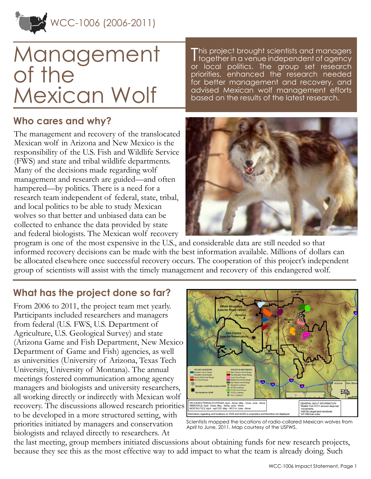

# Management of the Mexican Wolf

**Who cares and why?**

The management and recovery of the translocated Mexican wolf in Arizona and New Mexico is the responsibility of the U.S. Fish and Wildlife Service (FWS) and state and tribal wildlife departments. Many of the decisions made regarding wolf management and research are guided—and often hampered—by politics. There is a need for a research team independent of federal, state, tribal, and local politics to be able to study Mexican wolves so that better and unbiased data can be collected to enhance the data provided by state and federal biologists. The Mexican wolf recovery

This project brought scientists and managers<br>Ttogether in a venue independent of agency **I** together in a venue independent of agency or local politics. The group set research priorities, enhanced the research needed for better management and recovery, and advised Mexican wolf management efforts based on the results of the latest research.



program is one of the most expensive in the U.S., and considerable data are still needed so that informed recovery decisions can be made with the best information available. Millions of dollars can be allocated elsewhere once successful recovery occurs. The cooperation of this project's independent group of scientists will assist with the timely management and recovery of this endangered wolf.

## **What has the project done so far?**

From 2006 to 2011, the project team met yearly. Participants included researchers and managers from federal (U.S. FWS, U.S. Department of Agriculture, U.S. Geological Survey) and state (Arizona Game and Fish Department, New Mexico Department of Game and Fish) agencies, as well as universities (University of Arizona, Texas Tech University, University of Montana). The annual meetings fostered communication among agency managers and biologists and university researchers, all working directly or indirectly with Mexican wolf recovery. The discussions allowed research priorities to be developed in a more structured setting, with priorities initiated by managers and conservation biologists and relayed directly to researchers. At



Scientists mapped the locations of radio-collared Mexican wolves from April to June, 2011. Map courtesy of the USFWS.

the last meeting, group members initiated discussions about obtaining funds for new research projects, because they see this as the most effective way to add impact to what the team is already doing. Such